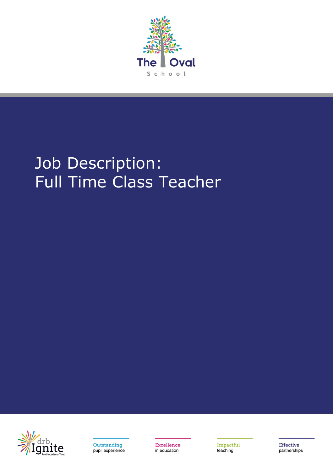

# Job Description: Full Time Class Teacher





Excellence in education

Impactful teaching

Effective partnerships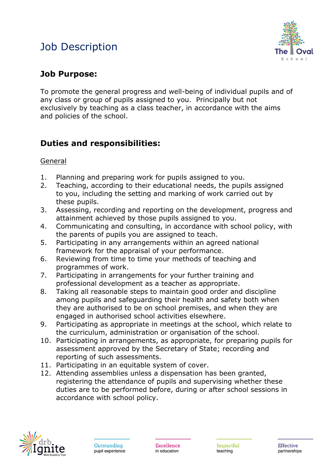# Job Description



### **Job Purpose:**

To promote the general progress and well-being of individual pupils and of any class or group of pupils assigned to you. Principally but not exclusively by teaching as a class teacher, in accordance with the aims and policies of the school.

## **Duties and responsibilities:**

General

- 1. Planning and preparing work for pupils assigned to you.
- 2. Teaching, according to their educational needs, the pupils assigned to you, including the setting and marking of work carried out by these pupils.
- 3. Assessing, recording and reporting on the development, progress and attainment achieved by those pupils assigned to you.
- 4. Communicating and consulting, in accordance with school policy, with the parents of pupils you are assigned to teach.
- 5. Participating in any arrangements within an agreed national framework for the appraisal of your performance.
- 6. Reviewing from time to time your methods of teaching and programmes of work.
- 7. Participating in arrangements for your further training and professional development as a teacher as appropriate.
- 8. Taking all reasonable steps to maintain good order and discipline among pupils and safeguarding their health and safety both when they are authorised to be on school premises, and when they are engaged in authorised school activities elsewhere.
- 9. Participating as appropriate in meetings at the school, which relate to the curriculum, administration or organisation of the school.
- 10. Participating in arrangements, as appropriate, for preparing pupils for assessment approved by the Secretary of State; recording and reporting of such assessments.
- 11. Participating in an equitable system of cover.
- 12. Attending assemblies unless a dispensation has been granted, registering the attendance of pupils and supervising whether these duties are to be performed before, during or after school sessions in accordance with school policy.